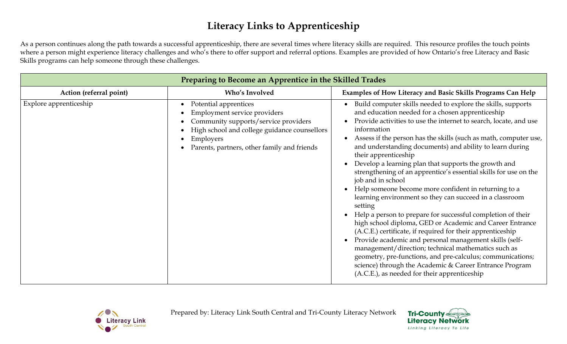As a person continues along the path towards a successful apprenticeship, there are several times where literacy skills are required. This resource profiles the touch points where a person might experience literacy challenges and who's there to offer support and referral options. Examples are provided of how Ontario's free Literacy and Basic Skills programs can help someone through these challenges.

| Preparing to Become an Apprentice in the Skilled Trades |                                                                                                                                                                                                           |                                                                                                                                                                                                                                                                                                                                                                                                                                                                                                                                                                                                                                                                                                                                                                                                                                                                                                                                                                                                                                                                                                                                                                       |
|---------------------------------------------------------|-----------------------------------------------------------------------------------------------------------------------------------------------------------------------------------------------------------|-----------------------------------------------------------------------------------------------------------------------------------------------------------------------------------------------------------------------------------------------------------------------------------------------------------------------------------------------------------------------------------------------------------------------------------------------------------------------------------------------------------------------------------------------------------------------------------------------------------------------------------------------------------------------------------------------------------------------------------------------------------------------------------------------------------------------------------------------------------------------------------------------------------------------------------------------------------------------------------------------------------------------------------------------------------------------------------------------------------------------------------------------------------------------|
| Action (referral point)                                 | Who's Involved                                                                                                                                                                                            | Examples of How Literacy and Basic Skills Programs Can Help                                                                                                                                                                                                                                                                                                                                                                                                                                                                                                                                                                                                                                                                                                                                                                                                                                                                                                                                                                                                                                                                                                           |
| Explore apprenticeship                                  | Potential apprentices<br>Employment service providers<br>Community supports/service providers<br>High school and college guidance counsellors<br>Employers<br>Parents, partners, other family and friends | Build computer skills needed to explore the skills, supports<br>and education needed for a chosen apprenticeship<br>Provide activities to use the internet to search, locate, and use<br>information<br>Assess if the person has the skills (such as math, computer use,<br>$\bullet$<br>and understanding documents) and ability to learn during<br>their apprenticeship<br>Develop a learning plan that supports the growth and<br>strengthening of an apprentice's essential skills for use on the<br>job and in school<br>Help someone become more confident in returning to a<br>$\bullet$<br>learning environment so they can succeed in a classroom<br>setting<br>Help a person to prepare for successful completion of their<br>high school diploma, GED or Academic and Career Entrance<br>(A.C.E.) certificate, if required for their apprenticeship<br>Provide academic and personal management skills (self-<br>$\bullet$<br>management/direction; technical mathematics such as<br>geometry, pre-functions, and pre-calculus; communications;<br>science) through the Academic & Career Entrance Program<br>(A.C.E.), as needed for their apprenticeship |



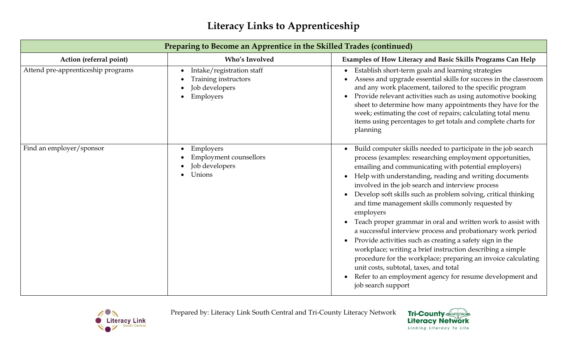| Preparing to Become an Apprentice in the Skilled Trades (continued) |                                                                                               |                                                                                                                                                                                                                                                                                                                                                                                                                                                                                                                                                                                                                                                                                                                                                                                                                                                                                                                    |
|---------------------------------------------------------------------|-----------------------------------------------------------------------------------------------|--------------------------------------------------------------------------------------------------------------------------------------------------------------------------------------------------------------------------------------------------------------------------------------------------------------------------------------------------------------------------------------------------------------------------------------------------------------------------------------------------------------------------------------------------------------------------------------------------------------------------------------------------------------------------------------------------------------------------------------------------------------------------------------------------------------------------------------------------------------------------------------------------------------------|
| Action (referral point)                                             | Who's Involved                                                                                | Examples of How Literacy and Basic Skills Programs Can Help                                                                                                                                                                                                                                                                                                                                                                                                                                                                                                                                                                                                                                                                                                                                                                                                                                                        |
| Attend pre-apprenticeship programs                                  | Intake/registration staff<br>Training instructors<br>Job developers<br>Employers<br>$\bullet$ | Establish short-term goals and learning strategies<br>$\bullet$<br>Assess and upgrade essential skills for success in the classroom<br>and any work placement, tailored to the specific program<br>Provide relevant activities such as using automotive booking<br>$\bullet$<br>sheet to determine how many appointments they have for the<br>week; estimating the cost of repairs; calculating total menu<br>items using percentages to get totals and complete charts for<br>planning                                                                                                                                                                                                                                                                                                                                                                                                                            |
| Find an employer/sponsor                                            | Employers<br><b>Employment counsellors</b><br>Job developers<br>Unions                        | Build computer skills needed to participate in the job search<br>process (examples: researching employment opportunities,<br>emailing and communicating with potential employers)<br>Help with understanding, reading and writing documents<br>involved in the job search and interview process<br>Develop soft skills such as problem solving, critical thinking<br>and time management skills commonly requested by<br>employers<br>Teach proper grammar in oral and written work to assist with<br>a successful interview process and probationary work period<br>Provide activities such as creating a safety sign in the<br>$\bullet$<br>workplace; writing a brief instruction describing a simple<br>procedure for the workplace; preparing an invoice calculating<br>unit costs, subtotal, taxes, and total<br>Refer to an employment agency for resume development and<br>$\bullet$<br>job search support |



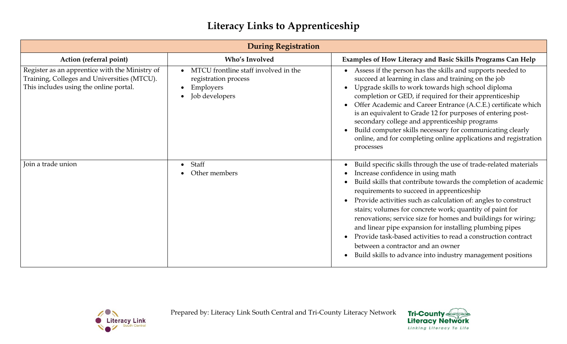| <b>During Registration</b>                                                                                                              |                                                                                                          |                                                                                                                                                                                                                                                                                                                                                                                                                                                                                                                                                                                                                                                     |
|-----------------------------------------------------------------------------------------------------------------------------------------|----------------------------------------------------------------------------------------------------------|-----------------------------------------------------------------------------------------------------------------------------------------------------------------------------------------------------------------------------------------------------------------------------------------------------------------------------------------------------------------------------------------------------------------------------------------------------------------------------------------------------------------------------------------------------------------------------------------------------------------------------------------------------|
| Action (referral point)                                                                                                                 | <b>Who's Involved</b>                                                                                    | Examples of How Literacy and Basic Skills Programs Can Help                                                                                                                                                                                                                                                                                                                                                                                                                                                                                                                                                                                         |
| Register as an apprentice with the Ministry of<br>Training, Colleges and Universities (MTCU).<br>This includes using the online portal. | MTCU frontline staff involved in the<br>$\bullet$<br>registration process<br>Employers<br>Job developers | Assess if the person has the skills and supports needed to<br>succeed at learning in class and training on the job<br>Upgrade skills to work towards high school diploma<br>completion or GED, if required for their apprenticeship<br>Offer Academic and Career Entrance (A.C.E.) certificate which<br>$\bullet$<br>is an equivalent to Grade 12 for purposes of entering post-<br>secondary college and apprenticeship programs<br>Build computer skills necessary for communicating clearly<br>online, and for completing online applications and registration<br>processes                                                                      |
| Join a trade union                                                                                                                      | Staff<br>Other members                                                                                   | Build specific skills through the use of trade-related materials<br>Increase confidence in using math<br>Build skills that contribute towards the completion of academic<br>requirements to succeed in apprenticeship<br>Provide activities such as calculation of: angles to construct<br>stairs; volumes for concrete work; quantity of paint for<br>renovations; service size for homes and buildings for wiring;<br>and linear pipe expansion for installing plumbing pipes<br>Provide task-based activities to read a construction contract<br>between a contractor and an owner<br>Build skills to advance into industry management positions |



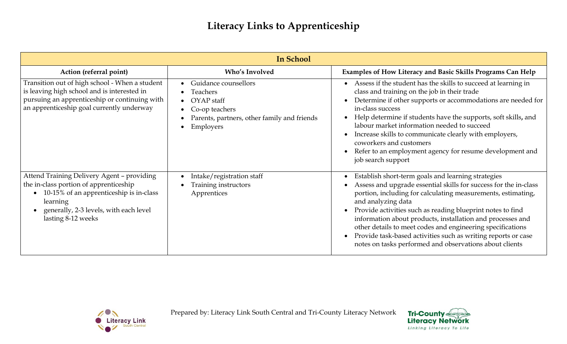| <b>In School</b>                                                                                                                                                                                            |                                                                                                                              |                                                                                                                                                                                                                                                                                                                                                                                                                                                                                                                                    |
|-------------------------------------------------------------------------------------------------------------------------------------------------------------------------------------------------------------|------------------------------------------------------------------------------------------------------------------------------|------------------------------------------------------------------------------------------------------------------------------------------------------------------------------------------------------------------------------------------------------------------------------------------------------------------------------------------------------------------------------------------------------------------------------------------------------------------------------------------------------------------------------------|
| Action (referral point)                                                                                                                                                                                     | <b>Who's Involved</b>                                                                                                        | Examples of How Literacy and Basic Skills Programs Can Help                                                                                                                                                                                                                                                                                                                                                                                                                                                                        |
| Transition out of high school - When a student<br>is leaving high school and is interested in<br>pursuing an apprenticeship or continuing with<br>an apprenticeship goal currently underway                 | Guidance counsellors<br>Teachers<br>OYAP staff<br>Co-op teachers<br>Parents, partners, other family and friends<br>Employers | Assess if the student has the skills to succeed at learning in<br>class and training on the job in their trade<br>Determine if other supports or accommodations are needed for<br>in-class success<br>Help determine if students have the supports, soft skills, and<br>labour market information needed to succeed<br>Increase skills to communicate clearly with employers,<br>coworkers and customers<br>Refer to an employment agency for resume development and<br>job search support                                         |
| Attend Training Delivery Agent - providing<br>the in-class portion of apprenticeship<br>10-15% of an apprenticeship is in-class<br>learning<br>generally, 2-3 levels, with each level<br>lasting 8-12 weeks | Intake/registration staff<br>Training instructors<br>Apprentices                                                             | Establish short-term goals and learning strategies<br>Assess and upgrade essential skills for success for the in-class<br>portion, including for calculating measurements, estimating,<br>and analyzing data<br>Provide activities such as reading blueprint notes to find<br>information about products, installation and processes and<br>other details to meet codes and engineering specifications<br>Provide task-based activities such as writing reports or case<br>notes on tasks performed and observations about clients |



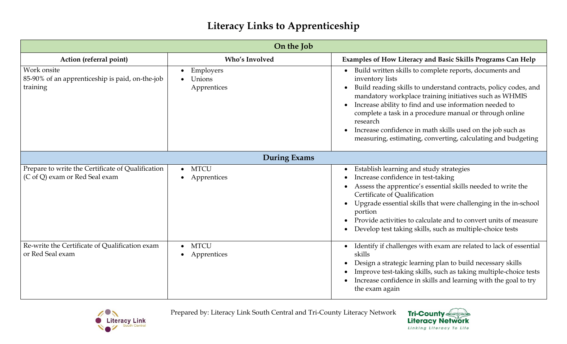|                                                                                     | On the Job                              |                                                                                                                                                                                                                                                                                                                                                                                                                                                                                     |
|-------------------------------------------------------------------------------------|-----------------------------------------|-------------------------------------------------------------------------------------------------------------------------------------------------------------------------------------------------------------------------------------------------------------------------------------------------------------------------------------------------------------------------------------------------------------------------------------------------------------------------------------|
| Action (referral point)                                                             | <b>Who's Involved</b>                   | Examples of How Literacy and Basic Skills Programs Can Help                                                                                                                                                                                                                                                                                                                                                                                                                         |
| Work onsite<br>85-90% of an apprenticeship is paid, on-the-job<br>training          | Employers<br>Unions<br>Apprentices      | Build written skills to complete reports, documents and<br>inventory lists<br>Build reading skills to understand contracts, policy codes, and<br>mandatory workplace training initiatives such as WHMIS<br>Increase ability to find and use information needed to<br>complete a task in a procedure manual or through online<br>research<br>Increase confidence in math skills used on the job such as<br>$\bullet$<br>measuring, estimating, converting, calculating and budgeting |
| <b>During Exams</b>                                                                 |                                         |                                                                                                                                                                                                                                                                                                                                                                                                                                                                                     |
| Prepare to write the Certificate of Qualification<br>(C of Q) exam or Red Seal exam | <b>MTCU</b><br>$\bullet$<br>Apprentices | Establish learning and study strategies<br>$\bullet$<br>Increase confidence in test-taking<br>Assess the apprentice's essential skills needed to write the<br>Certificate of Qualification<br>Upgrade essential skills that were challenging in the in-school<br>portion<br>Provide activities to calculate and to convert units of measure<br>Develop test taking skills, such as multiple-choice tests                                                                            |
| Re-write the Certificate of Qualification exam<br>or Red Seal exam                  | <b>MTCU</b><br>$\bullet$<br>Apprentices | Identify if challenges with exam are related to lack of essential<br>skills<br>Design a strategic learning plan to build necessary skills<br>Improve test-taking skills, such as taking multiple-choice tests<br>Increase confidence in skills and learning with the goal to try<br>the exam again                                                                                                                                                                                  |